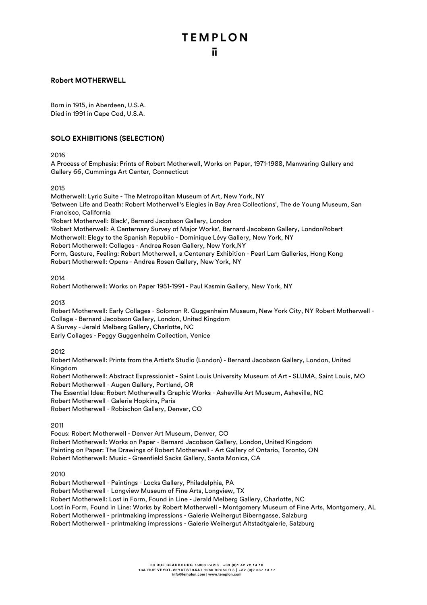#### **Robert MOTHERWELL**

Born in 1915, in Aberdeen, U.S.A. Died in 1991 in Cape Cod, U.S.A.

#### **SOLO EXHIBITIONS (SELECTION)**

2016

A Process of Emphasis: Prints of Robert Motherwell, Works on Paper, 1971-1988, Manwaring Gallery and Gallery 66, Cummings Art Center, Connecticut

#### 2015

Motherwell: Lyric Suite - The Metropolitan Museum of Art, New York, NY 'Between Life and Death: Robert Motherwell's Elegies in Bay Area Collections', The de Young Museum, San Francisco, California 'Robert Motherwell: Black', Bernard Jacobson Gallery, London 'Robert Motherwell: A Centernary Survey of Major Works', Bernard Jacobson Gallery, LondonRobert Motherwell: Elegy to the Spanish Republic - Dominique Lévy Gallery, New York, NY Robert Motherwell: Collages - Andrea Rosen Gallery, New York,NY Form, Gesture, Feeling: Robert Motherwell, a Centenary Exhibition - Pearl Lam Galleries, Hong Kong Robert Motherwell: Opens - Andrea Rosen Gallery, New York, NY

#### 2014

Robert Motherwell: Works on Paper 1951-1991 - Paul Kasmin Gallery, New York, NY

2013

Robert Motherwell: Early Collages - Solomon R. Guggenheim Museum, New York City, NY Robert Motherwell - Collage - Bernard Jacobson Gallery, London, United Kingdom A Survey - Jerald Melberg Gallery, Charlotte, NC Early Collages - Peggy Guggenheim Collection, Venice

#### 2012

Robert Motherwell: Prints from the Artist's Studio (London) - Bernard Jacobson Gallery, London, United Kingdom Robert Motherwell: Abstract Expressionist - Saint Louis University Museum of Art - SLUMA, Saint Louis, MO Robert Motherwell - Augen Gallery, Portland, OR The Essential Idea: Robert Motherwell's Graphic Works - Asheville Art Museum, Asheville, NC Robert Motherwell - Galerie Hopkins, Paris Robert Motherwell - Robischon Gallery, Denver, CO

2011

Focus: Robert Motherwell - Denver Art Museum, Denver, CO Robert Motherwell: Works on Paper - Bernard Jacobson Gallery, London, United Kingdom Painting on Paper: The Drawings of Robert Motherwell - Art Gallery of Ontario, Toronto, ON Robert Motherwell: Music - Greenfield Sacks Gallery, Santa Monica, CA

2010

Robert Motherwell - Paintings - Locks Gallery, Philadelphia, PA Robert Motherwell - Longview Museum of Fine Arts, Longview, TX Robert Motherwell: Lost in Form, Found in Line - Jerald Melberg Gallery, Charlotte, NC Lost in Form, Found in Line: Works by Robert Motherwell - Montgomery Museum of Fine Arts, Montgomery, AL Robert Motherwell - printmaking impressions - Galerie Weihergut Biberngasse, Salzburg Robert Motherwell - printmaking impressions - Galerie Weihergut Altstadtgalerie, Salzburg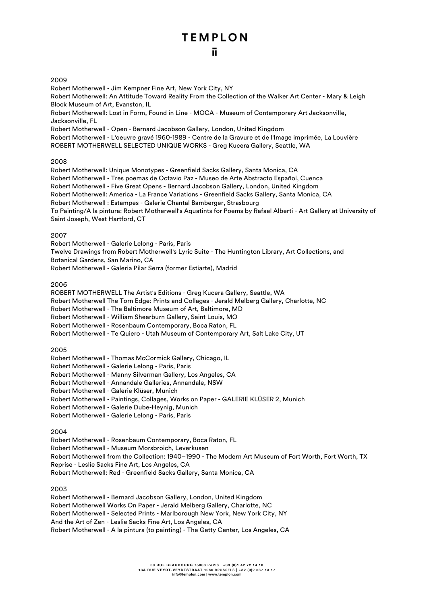### ū.

#### 2009

Robert Motherwell - Jim Kempner Fine Art, New York City, NY Robert Motherwell: An Attitude Toward Reality From the Collection of the Walker Art Center - Mary & Leigh Block Museum of Art, Evanston, IL Robert Motherwell: Lost in Form, Found in Line - MOCA - Museum of Contemporary Art Jacksonville, Jacksonville, FL Robert Motherwell - Open - Bernard Jacobson Gallery, London, United Kingdom Robert Motherwell - L'oeuvre gravé 1960-1989 - Centre de la Gravure et de l'Image imprimée, La Louvière ROBERT MOTHERWELL SELECTED UNIQUE WORKS - Greg Kucera Gallery, Seattle, WA

#### 2008

Robert Motherwell: Unique Monotypes - Greenfield Sacks Gallery, Santa Monica, CA Robert Motherwell - Tres poemas de Octavio Paz - Museo de Arte Abstracto Español, Cuenca Robert Motherwell - Five Great Opens - Bernard Jacobson Gallery, London, United Kingdom Robert Motherwell: America - La France Variations - Greenfield Sacks Gallery, Santa Monica, CA Robert Motherwell : Estampes - Galerie Chantal Bamberger, Strasbourg To Painting/A la pintura: Robert Motherwell's Aquatints for Poems by Rafael Alberti - Art Gallery at University of Saint Joseph, West Hartford, CT

#### 2007

Robert Motherwell - Galerie Lelong - Paris, Paris Twelve Drawings from Robert Motherwell's Lyric Suite - The Huntington Library, Art Collections, and Botanical Gardens, San Marino, CA Robert Motherwell - Galeria Pilar Serra (former Estiarte), Madrid

#### 2006

ROBERT MOTHERWELL The Artist's Editions - Greg Kucera Gallery, Seattle, WA Robert Motherwell The Torn Edge: Prints and Collages - Jerald Melberg Gallery, Charlotte, NC Robert Motherwell - The Baltimore Museum of Art, Baltimore, MD Robert Motherwell - William Shearburn Gallery, Saint Louis, MO Robert Motherwell - Rosenbaum Contemporary, Boca Raton, FL Robert Motherwell - Te Quiero - Utah Museum of Contemporary Art, Salt Lake City, UT

#### 2005

Robert Motherwell - Thomas McCormick Gallery, Chicago, IL

Robert Motherwell - Galerie Lelong - Paris, Paris

Robert Motherwell - Manny Silverman Gallery, Los Angeles, CA

Robert Motherwell - Annandale Galleries, Annandale, NSW

Robert Motherwell - Galerie Klüser, Munich

Robert Motherwell - Paintings, Collages, Works on Paper - GALERIE KLÜSER 2, Munich

Robert Motherwell - Galerie Dube-Heynig, Munich

Robert Motherwell - Galerie Lelong - Paris, Paris

#### 2004

Robert Motherwell - Rosenbaum Contemporary, Boca Raton, FL Robert Motherwell - Museum Morsbroich, Leverkusen Robert Motherwell from the Collection: 1940–1990 - The Modern Art Museum of Fort Worth, Fort Worth, TX Reprise - Leslie Sacks Fine Art, Los Angeles, CA Robert Motherwell: Red - Greenfield Sacks Gallery, Santa Monica, CA

#### 2003

Robert Motherwell - Bernard Jacobson Gallery, London, United Kingdom Robert Motherwell Works On Paper - Jerald Melberg Gallery, Charlotte, NC Robert Motherwell - Selected Prints - Marlborough New York, New York City, NY And the Art of Zen - Leslie Sacks Fine Art, Los Angeles, CA Robert Motherwell - A la pintura (to painting) - The Getty Center, Los Angeles, CA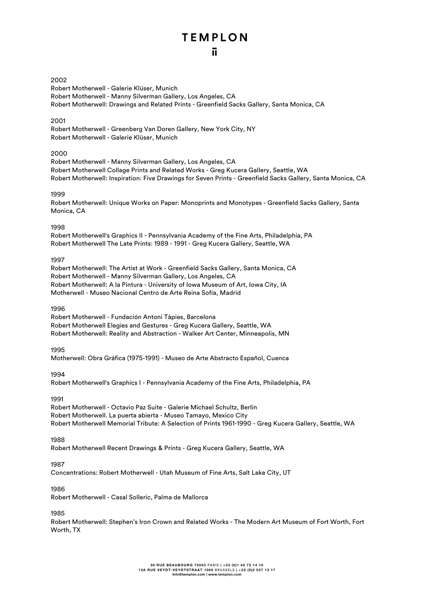#### 2002

Robert Motherwell - Galerie Klüser, Munich Robert Motherwell - Manny Silverman Gallery, Los Angeles, CA Robert Motherwell: Drawings and Related Prints - Greenfield Sacks Gallery, Santa Monica, CA

#### 2001

Robert Motherwell - Greenberg Van Doren Gallery, New York City, NY Robert Motherwell - Galerie Klüser, Munich

#### 2000

Robert Motherwell - Manny Silverman Gallery, Los Angeles, CA Robert Motherwell Collage Prints and Related Works - Greg Kucera Gallery, Seattle, WA Robert Motherwell: Inspiration: Five Drawings for Seven Prints - Greenfield Sacks Gallery, Santa Monica, CA

#### 1999

Robert Motherwell: Unique Works on Paper: Monoprints and Monotypes - Greenfield Sacks Gallery, Santa Monica, CA

#### 1998

Robert Motherwell's Graphics II - Pennsylvania Academy of the Fine Arts, Philadelphia, PA Robert Motherwell The Late Prints: 1989 - 1991 - Greg Kucera Gallery, Seattle, WA

#### 1997

Robert Motherwell: The Artist at Work - Greenfield Sacks Gallery, Santa Monica, CA Robert Motherwell - Manny Silverman Gallery, Los Angeles, CA Robert Motherwell: A la Pintura - University of Iowa Museum of Art, Iowa City, IA Motherwell - Museo Nacional Centro de Arte Reina Sofía, Madrid

#### 1996

Robert Motherwell - Fundación Antoni Tàpies, Barcelona Robert Motherwell Elegies and Gestures - Greg Kucera Gallery, Seattle, WA Robert Motherwell: Reality and Abstraction - Walker Art Center, Minneapolis, MN

#### 1995

Motherwell: Obra Gráfica (1975-1991) - Museo de Arte Abstracto Español, Cuenca

#### 1994

Robert Motherwell's Graphics I - Pennsylvania Academy of the Fine Arts, Philadelphia, PA

#### 1991

Robert Motherwell - Octavio Paz Suite - Galerie Michael Schultz, Berlin Robert Motherwell. La puerta abierta - Museo Tamayo, Mexico City Robert Motherwell Memorial Tribute: A Selection of Prints 1961-1990 - Greg Kucera Gallery, Seattle, WA

#### 1988

Robert Motherwell Recent Drawings & Prints - Greg Kucera Gallery, Seattle, WA

#### 1987

Concentrations: Robert Motherwell - Utah Museum of Fine Arts, Salt Lake City, UT

#### 1986

Robert Motherwell - Casal Solleric, Palma de Mallorca

#### 1985

Robert Motherwell: Stephen's Iron Crown and Related Works - The Modern Art Museum of Fort Worth, Fort Worth, TX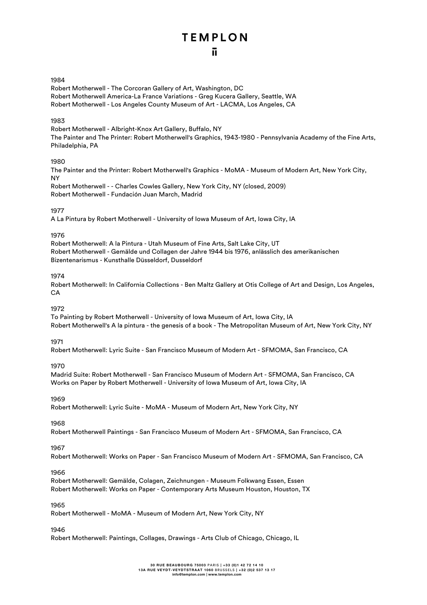#### 1984

Robert Motherwell - The Corcoran Gallery of Art, Washington, DC Robert Motherwell America-La France Variations - Greg Kucera Gallery, Seattle, WA Robert Motherwell - Los Angeles County Museum of Art - LACMA, Los Angeles, CA

#### 1983

Robert Motherwell - Albright-Knox Art Gallery, Buffalo, NY The Painter and The Printer: Robert Motherwell's Graphics, 1943-1980 - Pennsylvania Academy of the Fine Arts, Philadelphia, PA

#### 1980

The Painter and the Printer: Robert Motherwell's Graphics - MoMA - Museum of Modern Art, New York City, NY

Robert Motherwell - - Charles Cowles Gallery, New York City, NY (closed, 2009) Robert Motherwell - Fundación Juan March, Madrid

#### 1977

A La Pintura by Robert Motherwell - University of Iowa Museum of Art, Iowa City, IA

#### 1976

Robert Motherwell: A la Pintura - Utah Museum of Fine Arts, Salt Lake City, UT Robert Motherwell - Gemälde und Collagen der Jahre 1944 bis 1976, anlässlich des amerikanischen Bizentenarismus - Kunsthalle Düsseldorf, Dusseldorf

#### 1974

Robert Motherwell: In California Collections - Ben Maltz Gallery at Otis College of Art and Design, Los Angeles,  $C\Delta$ 

#### 1972

To Painting by Robert Motherwell - University of Iowa Museum of Art, Iowa City, IA Robert Motherwell's A la pintura - the genesis of a book - The Metropolitan Museum of Art, New York City, NY

#### 1971

Robert Motherwell: Lyric Suite - San Francisco Museum of Modern Art - SFMOMA, San Francisco, CA

#### 1970

Madrid Suite: Robert Motherwell - San Francisco Museum of Modern Art - SFMOMA, San Francisco, CA Works on Paper by Robert Motherwell - University of Iowa Museum of Art, Iowa City, IA

#### 1969

Robert Motherwell: Lyric Suite - MoMA - Museum of Modern Art, New York City, NY

#### 1968

Robert Motherwell Paintings - San Francisco Museum of Modern Art - SFMOMA, San Francisco, CA

#### 1967

Robert Motherwell: Works on Paper - San Francisco Museum of Modern Art - SFMOMA, San Francisco, CA

#### 1966

Robert Motherwell: Gemälde, Colagen, Zeichnungen - Museum Folkwang Essen, Essen Robert Motherwell: Works on Paper - Contemporary Arts Museum Houston, Houston, TX

#### 1965

Robert Motherwell - MoMA - Museum of Modern Art, New York City, NY

#### 1946

Robert Motherwell: Paintings, Collages, Drawings - Arts Club of Chicago, Chicago, IL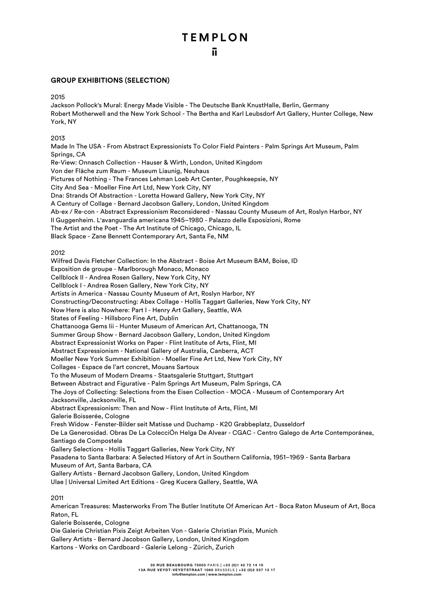#### **GROUP EXHIBITIONS (SELECTION)**

2015

Jackson Pollock's Mural: Energy Made Visible - The Deutsche Bank KnustHalle, Berlin, Germany Robert Motherwell and the New York School - The Bertha and Karl Leubsdorf Art Gallery, Hunter College, New York, NY

2013

Made In The USA - From Abstract Expressionists To Color Field Painters - Palm Springs Art Museum, Palm Springs, CA Re-View: Onnasch Collection - Hauser & Wirth, London, United Kingdom Von der Fläche zum Raum - Museum Liaunig, Neuhaus Pictures of Nothing - The Frances Lehman Loeb Art Center, Poughkeepsie, NY City And Sea - Moeller Fine Art Ltd, New York City, NY Dna: Strands Of Abstraction - Loretta Howard Gallery, New York City, NY A Century of Collage - Bernard Jacobson Gallery, London, United Kingdom Ab-ex / Re-con - Abstract Expressionism Reconsidered - Nassau County Museum of Art, Roslyn Harbor, NY Il Guggenheim. L'avanguardia americana 1945–1980 - Palazzo delle Esposizioni, Rome The Artist and the Poet - The Art Institute of Chicago, Chicago, IL Black Space - Zane Bennett Contemporary Art, Santa Fe, NM 2012 Wilfred Davis Fletcher Collection: In the Abstract - Boise Art Museum BAM, Boise, ID Exposition de groupe - Marlborough Monaco, Monaco Cellblock II - Andrea Rosen Gallery, New York City, NY Cellblock I - Andrea Rosen Gallery, New York City, NY Artists in America - Nassau County Museum of Art, Roslyn Harbor, NY Constructing/Deconstructing: Abex Collage - Hollis Taggart Galleries, New York City, NY Now Here is also Nowhere: Part I - Henry Art Gallery, Seattle, WA States of Feeling - Hillsboro Fine Art, Dublin Chattanooga Gems Iii - Hunter Museum of American Art, Chattanooga, TN Summer Group Show - Bernard Jacobson Gallery, London, United Kingdom Abstract Expressionist Works on Paper - Flint Institute of Arts, Flint, MI Abstract Expressionism - National Gallery of Australia, Canberra, ACT Moeller New York Summer Exhibition - Moeller Fine Art Ltd, New York City, NY Collages - Espace de l'art concret, Mouans Sartoux To the Museum of Modern Dreams - Staatsgalerie Stuttgart, Stuttgart Between Abstract and Figurative - Palm Springs Art Museum, Palm Springs, CA The Joys of Collecting: Selections from the Eisen Collection - MOCA - Museum of Contemporary Art Jacksonville, Jacksonville, FL Abstract Expressionism: Then and Now - Flint Institute of Arts, Flint, MI Galerie Boisserée, Cologne Fresh Widow - Fenster-Bilder seit Matisse und Duchamp - K20 Grabbeplatz, Dusseldorf De La Generosidad. Obras De La ColecciÓn Helga De Alvear - CGAC - Centro Galego de Arte Contemporánea, Santiago de Compostela Gallery Selections - Hollis Taggart Galleries, New York City, NY Pasadena to Santa Barbara: A Selected History of Art in Southern California, 1951–1969 - Santa Barbara Museum of Art, Santa Barbara, CA Gallery Artists - Bernard Jacobson Gallery, London, United Kingdom Ulae | Universal Limited Art Editions - Greg Kucera Gallery, Seattle, WA

#### 2011

American Treasures: Masterworks From The Butler Institute Of American Art - Boca Raton Museum of Art, Boca Raton, FL

Galerie Boisserée, Cologne

Die Galerie Christian Pixis Zeigt Arbeiten Von - Galerie Christian Pixis, Munich Gallery Artists - Bernard Jacobson Gallery, London, United Kingdom Kartons - Works on Cardboard - Galerie Lelong - Zürich, Zurich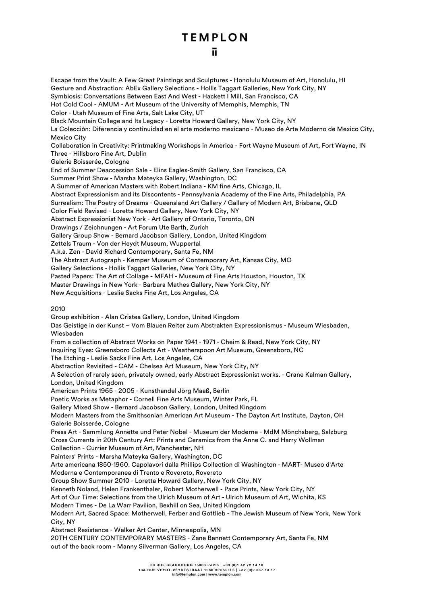Escape from the Vault: A Few Great Paintings and Sculptures - Honolulu Museum of Art, Honolulu, HI Gesture and Abstraction: AbEx Gallery Selections - Hollis Taggart Galleries, New York City, NY Symbiosis: Conversations Between East And West - Hackett I Mill, San Francisco, CA Hot Cold Cool - AMUM - Art Museum of the University of Memphis, Memphis, TN Color - Utah Museum of Fine Arts, Salt Lake City, UT Black Mountain College and Its Legacy - Loretta Howard Gallery, New York City, NY La Colección: Diferencia y continuidad en el arte moderno mexicano - Museo de Arte Moderno de Mexico City, Mexico City Collaboration in Creativity: Printmaking Workshops in America - Fort Wayne Museum of Art, Fort Wayne, IN Three - Hillsboro Fine Art, Dublin Galerie Boisserée, Cologne End of Summer Deaccession Sale - Elins Eagles-Smith Gallery, San Francisco, CA Summer Print Show - Marsha Mateyka Gallery, Washington, DC A Summer of American Masters with Robert Indiana - KM fine Arts, Chicago, IL Abstract Expressionism and its Discontents - Pennsylvania Academy of the Fine Arts, Philadelphia, PA Surrealism: The Poetry of Dreams - Queensland Art Gallery / Gallery of Modern Art, Brisbane, QLD Color Field Revised - Loretta Howard Gallery, New York City, NY Abstract Expressionist New York - Art Gallery of Ontario, Toronto, ON Drawings / Zeichnungen - Art Forum Ute Barth, Zurich Gallery Group Show - Bernard Jacobson Gallery, London, United Kingdom Zettels Traum - Von der Heydt Museum, Wuppertal A.k.a. Zen - David Richard Contemporary, Santa Fe, NM The Abstract Autograph - Kemper Museum of Contemporary Art, Kansas City, MO Gallery Selections - Hollis Taggart Galleries, New York City, NY Pasted Papers: The Art of Collage - MFAH - Museum of Fine Arts Houston, Houston, TX Master Drawings in New York - Barbara Mathes Gallery, New York City, NY New Acquisitions - Leslie Sacks Fine Art, Los Angeles, CA 2010 Group exhibition - Alan Cristea Gallery, London, United Kingdom Das Geistige in der Kunst – Vom Blauen Reiter zum Abstrakten Expressionismus - Museum Wiesbaden, Wiesbaden From a collection of Abstract Works on Paper 1941 - 1971 - Cheim & Read, New York City, NY Inquiring Eyes: Greensboro Collects Art - Weatherspoon Art Museum, Greensboro, NC The Etching - Leslie Sacks Fine Art, Los Angeles, CA Abstraction Revisited - CAM - Chelsea Art Museum, New York City, NY A Selection of rarely seen, privately owned, early Abstract Expressionist works. - Crane Kalman Gallery, London, United Kingdom American Prints 1965 - 2005 - Kunsthandel Jörg Maaß, Berlin Poetic Works as Metaphor - Cornell Fine Arts Museum, Winter Park, FL Gallery Mixed Show - Bernard Jacobson Gallery, London, United Kingdom Modern Masters from the Smithsonian American Art Museum - The Dayton Art Institute, Dayton, OH Galerie Boisserée, Cologne Press Art - Sammlung Annette und Peter Nobel - Museum der Moderne - MdM Mönchsberg, Salzburg Cross Currents in 20th Century Art: Prints and Ceramics from the Anne C. and Harry Wollman Collection - Currier Museum of Art, Manchester, NH Painters' Prints - Marsha Mateyka Gallery, Washington, DC Arte americana 1850-1960. Capolavori dalla Phillips Collection di Washington - MART- Museo d'Arte Moderna e Contemporanea di Trento e Rovereto, Rovereto Group Show Summer 2010 - Loretta Howard Gallery, New York City, NY Kenneth Noland, Helen Frankenthaler, Robert Motherwell - Pace Prints, New York City, NY Art of Our Time: Selections from the Ulrich Museum of Art - Ulrich Museum of Art, Wichita, KS Modern Times - De La Warr Pavilion, Bexhill on Sea, United Kingdom Modern Art, Sacred Space: Motherwell, Ferber and Gottlieb - The Jewish Museum of New York, New York City, NY Abstract Resistance - Walker Art Center, Minneapolis, MN 20TH CENTURY CONTEMPORARY MASTERS - Zane Bennett Contemporary Art, Santa Fe, NM out of the back room - Manny Silverman Gallery, Los Angeles, CA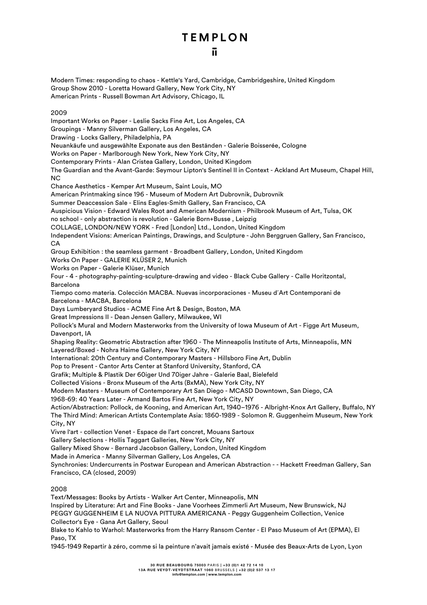Modern Times: responding to chaos - Kettle's Yard, Cambridge, Cambridgeshire, United Kingdom Group Show 2010 - Loretta Howard Gallery, New York City, NY American Prints - Russell Bowman Art Advisory, Chicago, IL 2009 Important Works on Paper - Leslie Sacks Fine Art, Los Angeles, CA Groupings - Manny Silverman Gallery, Los Angeles, CA Drawing - Locks Gallery, Philadelphia, PA Neuankäufe und ausgewählte Exponate aus den Beständen - Galerie Boisserée, Cologne Works on Paper - Marlborough New York, New York City, NY Contemporary Prints - Alan Cristea Gallery, London, United Kingdom The Guardian and the Avant-Garde: Seymour Lipton's Sentinel II in Context - Ackland Art Museum, Chapel Hill, NC Chance Aesthetics - Kemper Art Museum, Saint Louis, MO American Printmaking since 196 - Museum of Modern Art Dubrovnik, Dubrovnik Summer Deaccession Sale - Elins Eagles-Smith Gallery, San Francisco, CA Auspicious Vision - Edward Wales Root and American Modernism - Philbrook Museum of Art, Tulsa, OK no school - only abstraction is revolution - Galerie Born+Busse , Leipzig COLLAGE, LONDON/NEW YORK - Fred [London] Ltd., London, United Kingdom Independent Visions: American Paintings, Drawings, and Sculpture - John Berggruen Gallery, San Francisco, CA Group Exhibition : the seamless garment - Broadbent Gallery, London, United Kingdom Works On Paper - GALERIE KLÜSER 2, Munich Works on Paper - Galerie Klüser, Munich Four - 4 - photography-painting-sculpture-drawing and video - Black Cube Gallery - Calle Horitzontal, Barcelona Tiempo como materia. Colección MACBA. Nuevas incorporaciones - Museu d´Art Contemporani de Barcelona - MACBA, Barcelona Days Lumberyard Studios - ACME Fine Art & Design, Boston, MA Great Impressions II - Dean Jensen Gallery, Milwaukee, WI Pollock's Mural and Modern Masterworks from the University of Iowa Museum of Art - Figge Art Museum, Davenport, IA Shaping Reality: Geometric Abstraction after 1960 - The Minneapolis Institute of Arts, Minneapolis, MN Layered/Boxed - Nohra Haime Gallery, New York City, NY International: 20th Century and Contemporary Masters - Hillsboro Fine Art, Dublin Pop to Present - Cantor Arts Center at Stanford University, Stanford, CA Grafik; Multiple & Plastik Der 60iger Und 70iger Jahre - Galerie Baal, Bielefeld Collected Visions - Bronx Museum of the Arts (BxMA), New York City, NY Modern Masters - Museum of Contemporary Art San Diego - MCASD Downtown, San Diego, CA 1968-69: 40 Years Later - Armand Bartos Fine Art, New York City, NY Action/Abstraction: Pollock, de Kooning, and American Art, 1940–1976 - Albright-Knox Art Gallery, Buffalo, NY The Third Mind: American Artists Contemplate Asia: 1860-1989 - Solomon R. Guggenheim Museum, New York City, NY Vivre l'art - collection Venet - Espace de l'art concret, Mouans Sartoux Gallery Selections - Hollis Taggart Galleries, New York City, NY Gallery Mixed Show - Bernard Jacobson Gallery, London, United Kingdom Made in America - Manny Silverman Gallery, Los Angeles, CA Synchronies: Undercurrents in Postwar European and American Abstraction - - Hackett Freedman Gallery, San Francisco, CA (closed, 2009) 2008

Text/Messages: Books by Artists - Walker Art Center, Minneapolis, MN

Inspired by Literature: Art and Fine Books - Jane Voorhees Zimmerli Art Museum, New Brunswick, NJ PEGGY GUGGENHEIM E LA NUOVA PITTURA AMERICANA - Peggy Guggenheim Collection, Venice Collector's Eye - Gana Art Gallery, Seoul

Blake to Kahlo to Warhol: Masterworks from the Harry Ransom Center - El Paso Museum of Art (EPMA), El Paso, TX

1945-1949 Repartir à zéro, comme si la peinture n'avait jamais existé - Musée des Beaux-Arts de Lyon, Lyon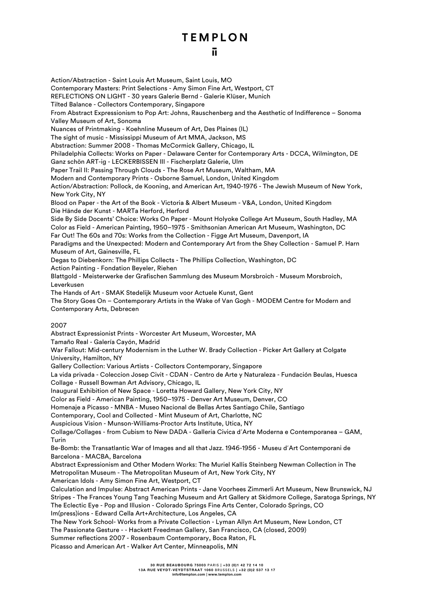#### ū.

Action/Abstraction - Saint Louis Art Museum, Saint Louis, MO Contemporary Masters: Print Selections - Amy Simon Fine Art, Westport, CT REFLECTIONS ON LIGHT - 30 years Galerie Bernd - Galerie Klüser, Munich Tilted Balance - Collectors Contemporary, Singapore From Abstract Expressionism to Pop Art: Johns, Rauschenberg and the Aesthetic of Indifference – Sonoma Valley Museum of Art, Sonoma Nuances of Printmaking - Koehnline Museum of Art, Des Plaines (IL) The sight of music - Mississippi Museum of Art MMA, Jackson, MS Abstraction: Summer 2008 - Thomas McCormick Gallery, Chicago, IL Philadelphia Collects: Works on Paper - Delaware Center for Contemporary Arts - DCCA, Wilmington, DE Ganz schön ART-ig - LECKERBISSEN III - Fischerplatz Galerie, Ulm Paper Trail II: Passing Through Clouds - The Rose Art Museum, Waltham, MA Modern and Contemporary Prints - Osborne Samuel, London, United Kingdom Action/Abstraction: Pollock, de Kooning, and American Art, 1940-1976 - The Jewish Museum of New York, New York City, NY Blood on Paper - the Art of the Book - Victoria & Albert Museum - V&A, London, United Kingdom Die Hände der Kunst - MARTa Herford, Herford Side By Side Docents' Choice: Works On Paper - Mount Holyoke College Art Museum, South Hadley, MA Color as Field - American Painting, 1950–1975 - Smithsonian American Art Museum, Washington, DC Far Out! The 60s and 70s: Works from the Collection - Figge Art Museum, Davenport, IA Paradigms and the Unexpected: Modern and Contemporary Art from the Shey Collection - Samuel P. Harn Museum of Art, Gainesville, FL Degas to Diebenkorn: The Phillips Collects - The Phillips Collection, Washington, DC Action Painting - Fondation Beyeler, Riehen Blattgold - Meisterwerke der Grafischen Sammlung des Museum Morsbroich - Museum Morsbroich, Leverkusen The Hands of Art - SMAK Stedelijk Museum voor Actuele Kunst, Gent The Story Goes On – Contemporary Artists in the Wake of Van Gogh - MODEM Centre for Modern and Contemporary Arts, Debrecen 2007 Abstract Expressionist Prints - Worcester Art Museum, Worcester, MA Tamaño Real - Galería Cayón, Madrid War Fallout: Mid-century Modernism in the Luther W. Brady Collection - Picker Art Gallery at Colgate University, Hamilton, NY Gallery Collection: Various Artists - Collectors Contemporary, Singapore La vida privada - Coleccion Josep Civit - CDAN - Centro de Arte y Naturaleza - Fundación Beulas, Huesca Collage - Russell Bowman Art Advisory, Chicago, IL Inaugural Exhibition of New Space - Loretta Howard Gallery, New York City, NY Color as Field - American Painting, 1950–1975 - Denver Art Museum, Denver, CO Homenaje a Picasso - MNBA - Museo Nacional de Bellas Artes Santiago Chile, Santiago Contemporary, Cool and Collected - Mint Museum of Art, Charlotte, NC Auspicious Vision - Munson-Williams-Proctor Arts Institute, Utica, NY Collage/Collages - from Cubism to New DADA - Galleria Civica d´Arte Moderna e Contemporanea – GAM, Turin Be-Bomb: the Transatlantic War of Images and all that Jazz. 1946-1956 - Museu d´Art Contemporani de Barcelona - MACBA, Barcelona Abstract Expressionism and Other Modern Works: The Muriel Kallis Steinberg Newman Collection in The Metropolitan Museum - The Metropolitan Museum of Art, New York City, NY American Idols - Amy Simon Fine Art, Westport, CT Calculation and Impulse: Abstract American Prints - Jane Voorhees Zimmerli Art Museum, New Brunswick, NJ Stripes - The Frances Young Tang Teaching Museum and Art Gallery at Skidmore College, Saratoga Springs, NY The Eclectic Eye - Pop and Illusion - Colorado Springs Fine Arts Center, Colorado Springs, CO Im(press)ions - Edward Cella Art+Architecture, Los Angeles, CA The New York School- Works from a Private Collection - Lyman Allyn Art Museum, New London, CT The Passionate Gesture - - Hackett Freedman Gallery, San Francisco, CA (closed, 2009) Summer reflections 2007 - Rosenbaum Contemporary, Boca Raton, FL Picasso and American Art - Walker Art Center, Minneapolis, MN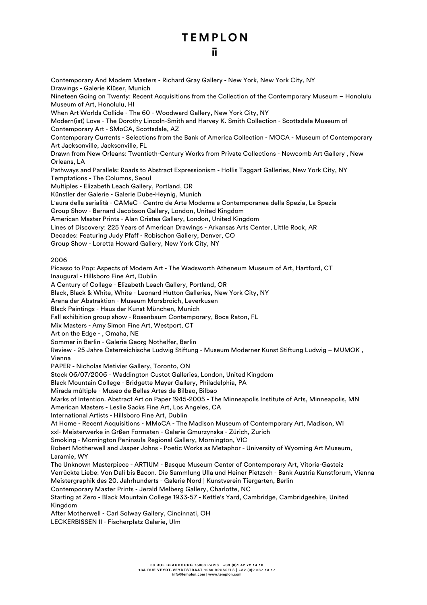Contemporary And Modern Masters - Richard Gray Gallery - New York, New York City, NY Drawings - Galerie Klüser, Munich Nineteen Going on Twenty: Recent Acquisitions from the Collection of the Contemporary Museum – Honolulu Museum of Art, Honolulu, HI When Art Worlds Collide - The 60 - Woodward Gallery, New York City, NY Modern(ist) Love - The Dorothy Lincoln-Smith and Harvey K. Smith Collection - Scottsdale Museum of Contemporary Art - SMoCA, Scottsdale, AZ Contemporary Currents - Selections from the Bank of America Collection - MOCA - Museum of Contemporary Art Jacksonville, Jacksonville, FL Drawn from New Orleans: Twentieth-Century Works from Private Collections - Newcomb Art Gallery , New Orleans, LA Pathways and Parallels: Roads to Abstract Expressionism - Hollis Taggart Galleries, New York City, NY Temptations - The Columns, Seoul Multiples - Elizabeth Leach Gallery, Portland, OR Künstler der Galerie - Galerie Dube-Heynig, Munich L'aura della serialità - CAMeC - Centro de Arte Moderna e Contemporanea della Spezia, La Spezia Group Show - Bernard Jacobson Gallery, London, United Kingdom American Master Prints - Alan Cristea Gallery, London, United Kingdom Lines of Discovery: 225 Years of American Drawings - Arkansas Arts Center, Little Rock, AR Decades: Featuring Judy Pfaff - Robischon Gallery, Denver, CO Group Show - Loretta Howard Gallery, New York City, NY 2006 Picasso to Pop: Aspects of Modern Art - The Wadsworth Atheneum Museum of Art, Hartford, CT Inaugural - Hillsboro Fine Art, Dublin A Century of Collage - Elizabeth Leach Gallery, Portland, OR Black, Black & White, White - Leonard Hutton Galleries, New York City, NY Arena der Abstraktion - Museum Morsbroich, Leverkusen Black Paintings - Haus der Kunst München, Munich Fall exhibition group show - Rosenbaum Contemporary, Boca Raton, FL Mix Masters - Amy Simon Fine Art, Westport, CT Art on the Edge - , Omaha, NE Sommer in Berlin - Galerie Georg Nothelfer, Berlin Review - 25 Jahre Österreichische Ludwig Stiftung - Museum Moderner Kunst Stiftung Ludwig – MUMOK , Vienna PAPER - Nicholas Metivier Gallery, Toronto, ON Stock 06/07/2006 - Waddington Custot Galleries, London, United Kingdom Black Mountain College - Bridgette Mayer Gallery, Philadelphia, PA Mirada múltiple - Museo de Bellas Artes de Bilbao, Bilbao Marks of Intention. Abstract Art on Paper 1945-2005 - The Minneapolis Institute of Arts, Minneapolis, MN American Masters - Leslie Sacks Fine Art, Los Angeles, CA International Artists - Hillsboro Fine Art, Dublin At Home - Recent Acquisitions - MMoCA - The Madison Museum of Contemporary Art, Madison, WI xxl- Meisterwerke in Grßen Formaten - Galerie Gmurzynska - Zürich, Zurich Smoking - Mornington Peninsula Regional Gallery, Mornington, VIC Robert Motherwell and Jasper Johns - Poetic Works as Metaphor - University of Wyoming Art Museum, Laramie, WY The Unknown Masterpiece - ARTIUM - Basque Museum Center of Contemporary Art, Vitoria-Gasteiz Verrückte Liebe: Von Dalí bis Bacon. Die Sammlung Ulla und Heiner Pietzsch - Bank Austria Kunstforum, Vienna Meistergraphik des 20. Jahrhunderts - Galerie Nord | Kunstverein Tiergarten, Berlin Contemporary Master Prints - Jerald Melberg Gallery, Charlotte, NC Starting at Zero - Black Mountain College 1933-57 - Kettle's Yard, Cambridge, Cambridgeshire, United Kingdom After Motherwell - Carl Solway Gallery, Cincinnati, OH LECKERBISSEN II - Fischerplatz Galerie, Ulm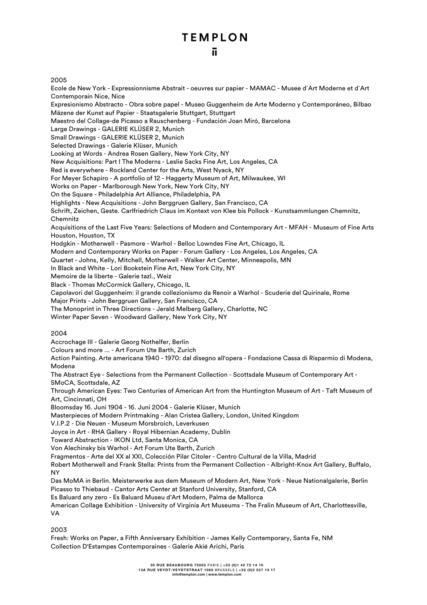#### 2005

Ecole de New York - Expressionnisme Abstrait - oeuvres sur papier - MAMAC - Musee d´Art Moderne et d`Art Contemporain Nice, Nice Expresionismo Abstracto - Obra sobre papel - Museo Guggenheim de Arte Moderno y Contemporáneo, Bilbao Mäzene der Kunst auf Papier - Staatsgalerie Stuttgart, Stuttgart Maestro del Collage-de Picasso a Rauschenberg - Fundación Joan Miró, Barcelona Large Drawings - GALERIE KLÜSER 2, Munich Small Drawings - GALERIE KLÜSER 2, Munich Selected Drawings - Galerie Klüser, Munich Looking at Words - Andrea Rosen Gallery, New York City, NY New Acquisitions: Part I The Moderns - Leslie Sacks Fine Art, Los Angeles, CA Red is everywhere - Rockland Center for the Arts, West Nyack, NY For Meyer Schapiro - A portfolio of 12 - Haggerty Museum of Art, Milwaukee, WI Works on Paper - Marlborough New York, New York City, NY On the Square - Philadelphia Art Alliance, Philadelphia, PA Highlights - New Acquisitions - John Berggruen Gallery, San Francisco, CA Schrift, Zeichen, Geste. Carlfriedrich Claus im Kontext von Klee bis Pollock - Kunstsammlungen Chemnitz, Chemnitz Acquisitions of the Last Five Years: Selections of Modern and Contemporary Art - MFAH - Museum of Fine Arts Houston, Houston, TX Hodgkin - Motherwell - Pasmore - Warhol - Belloc Lowndes Fine Art, Chicago, IL Modern and Contemporary Works on Paper - Forum Gallery - Los Angeles, Los Angeles, CA Quartet - Johns, Kelly, Mitchell, Motherwell - Walker Art Center, Minneapolis, MN In Black and White - Lori Bookstein Fine Art, New York City, NY Memoire de la liberte - Galerie tazl., Weiz Black - Thomas McCormick Gallery, Chicago, IL Capolavori del Guggenheim: il grande collezionismo da Renoir a Warhol - Scuderie del Quirinale, Rome Major Prints - John Berggruen Gallery, San Francisco, CA The Monoprint in Three Directions - Jerald Melberg Gallery, Charlotte, NC Winter Paper Seven - Woodward Gallery, New York City, NY 2004 Accrochage III - Galerie Georg Nothelfer, Berlin

Colours and more ... - Art Forum Ute Barth, Zurich

Action Painting. Arte americana 1940 - 1970: dal disegno all'opera - Fondazione Cassa di Risparmio di Modena, Modena

The Abstract Eye - Selections from the Permanent Collection - Scottsdale Museum of Contemporary Art - SMoCA, Scottsdale, AZ

Through American Eyes: Two Centuries of American Art from the Huntington Museum of Art - Taft Museum of Art, Cincinnati, OH

Bloomsday 16. Juni 1904 - 16. Juni 2004 - Galerie Klüser, Munich

Masterpieces of Modern Printmaking - Alan Cristea Gallery, London, United Kingdom

V.I.P.2 - Die Neuen - Museum Morsbroich, Leverkusen

Joyce in Art - RHA Gallery - Royal Hibernian Academy, Dublin

Toward Abstraction - IKON Ltd, Santa Monica, CA

Von Alechinsky bis Warhol - Art Forum Ute Barth, Zurich

Fragmentos - Arte del XX al XXI, Colección Pilar Citoler - Centro Cultural de la Villa, Madrid

Robert Motherwell and Frank Stella: Prints from the Permanent Collection - Albright-Knox Art Gallery, Buffalo, NY

Das MoMA in Berlin. Meisterwerke aus dem Museum of Modern Art, New York - Neue Nationalgalerie, Berlin Picasso to Thiebaud - Cantor Arts Center at Stanford University, Stanford, CA

Es Baluard any zero - Es Baluard Museu d'Art Modern, Palma de Mallorca

American Collage Exhibition - University of Virginia Art Museums - The Fralin Museum of Art, Charlottesville, VA

2003

Fresh: Works on Paper, a Fifth Anniversary Exhibition - James Kelly Contemporary, Santa Fe, NM Collection D'Estampes Contemporaines - Galerie Akié Arichi, Paris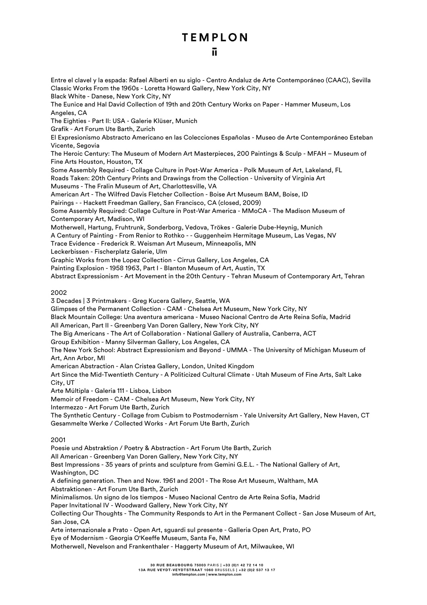Entre el clavel y la espada: Rafael Alberti en su siglo - Centro Andaluz de Arte Contemporáneo (CAAC), Sevilla Classic Works From the 1960s - Loretta Howard Gallery, New York City, NY Black White - Danese, New York City, NY The Eunice and Hal David Collection of 19th and 20th Century Works on Paper - Hammer Museum, Los Angeles, CA The Eighties - Part II: USA - Galerie Klüser, Munich Grafik - Art Forum Ute Barth, Zurich El Expresionismo Abstracto Americano en las Colecciones Españolas - Museo de Arte Contemporáneo Esteban Vicente, Segovia The Heroic Century: The Museum of Modern Art Masterpieces, 200 Paintings & Sculp - MFAH – Museum of Fine Arts Houston, Houston, TX Some Assembly Required - Collage Culture in Post-War America - Polk Museum of Art, Lakeland, FL Roads Taken: 20th Century Prints and Drawings from the Collection - University of Virginia Art Museums - The Fralin Museum of Art, Charlottesville, VA American Art - The Wilfred Davis Fletcher Collection - Boise Art Museum BAM, Boise, ID Pairings - - Hackett Freedman Gallery, San Francisco, CA (closed, 2009) Some Assembly Required: Collage Culture in Post-War America - MMoCA - The Madison Museum of Contemporary Art, Madison, WI Motherwell, Hartung, Fruhtrunk, Sonderborg, Vedova, Trökes - Galerie Dube-Heynig, Munich A Century of Painting - From Renior to Rothko - - Guggenheim Hermitage Museum, Las Vegas, NV Trace Evidence - Frederick R. Weisman Art Museum, Minneapolis, MN Leckerbissen - Fischerplatz Galerie, Ulm Graphic Works from the Lopez Collection - Cirrus Gallery, Los Angeles, CA Painting Explosion - 1958 1963, Part I - Blanton Museum of Art, Austin, TX Abstract Expressionism - Art Movement in the 20th Century - Tehran Museum of Contemporary Art, Tehran 2002 3 Decades | 3 Printmakers - Greg Kucera Gallery, Seattle, WA Glimpses of the Permanent Collection - CAM - Chelsea Art Museum, New York City, NY Black Mountain College: Una aventura americana - Museo Nacional Centro de Arte Reina Sofía, Madrid All American, Part II - Greenberg Van Doren Gallery, New York City, NY The Big Americans - The Art of Collaboration - National Gallery of Australia, Canberra, ACT Group Exhibition - Manny Silverman Gallery, Los Angeles, CA The New York School: Abstract Expressionism and Beyond - UMMA - The University of Michigan Museum of Art, Ann Arbor, MI American Abstraction - Alan Cristea Gallery, London, United Kingdom Art Since the Mid-Twentieth Century - A Politicized Cultural Climate - Utah Museum of Fine Arts, Salt Lake City, UT Arte Múltipla - Galeria 111 - Lisboa, Lisbon Memoir of Freedom - CAM - Chelsea Art Museum, New York City, NY Intermezzo - Art Forum Ute Barth, Zurich The Synthetic Century - Collage from Cubism to Postmodernism - Yale University Art Gallery, New Haven, CT Gesammelte Werke / Collected Works - Art Forum Ute Barth, Zurich 2001 Poesie und Abstraktion / Poetry & Abstraction - Art Forum Ute Barth, Zurich All American - Greenberg Van Doren Gallery, New York City, NY Best Impressions - 35 years of prints and sculpture from Gemini G.E.L. - The National Gallery of Art, Washington, DC A defining generation. Then and Now. 1961 and 2001 - The Rose Art Museum, Waltham, MA Abstraktionen - Art Forum Ute Barth, Zurich Minimalismos. Un signo de los tiempos - Museo Nacional Centro de Arte Reina Sofía, Madrid Paper Invitational IV - Woodward Gallery, New York City, NY Collecting Our Thoughts - The Community Responds to Art in the Permanent Collect - San Jose Museum of Art, San Jose, CA Arte internazionale a Prato - Open Art, sguardi sul presente - Galleria Open Art, Prato, PO Eye of Modernism - Georgia O'Keeffe Museum, Santa Fe, NM Motherwell, Nevelson and Frankenthaler - Haggerty Museum of Art, Milwaukee, WI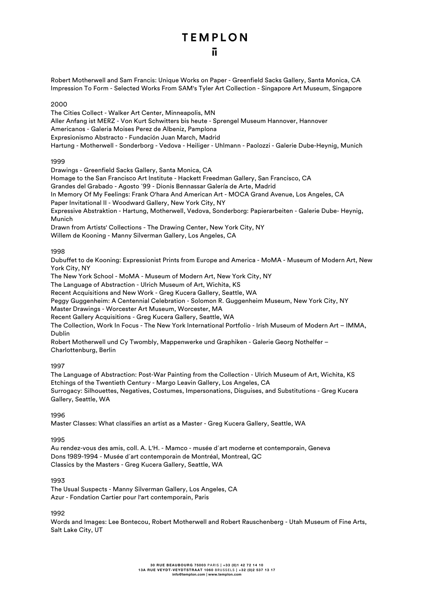Robert Motherwell and Sam Francis: Unique Works on Paper - Greenfield Sacks Gallery, Santa Monica, CA Impression To Form - Selected Works From SAM's Tyler Art Collection - Singapore Art Museum, Singapore

2000

The Cities Collect - Walker Art Center, Minneapolis, MN Aller Anfang ist MERZ - Von Kurt Schwitters bis heute - Sprengel Museum Hannover, Hannover Americanos - Galeria Moises Perez de Albeniz, Pamplona Expresionismo Abstracto - Fundación Juan March, Madrid Hartung - Motherwell - Sonderborg - Vedova - Heiliger - Uhlmann - Paolozzi - Galerie Dube-Heynig, Munich

1999

Drawings - Greenfield Sacks Gallery, Santa Monica, CA

Homage to the San Francisco Art Institute - Hackett Freedman Gallery, San Francisco, CA

Grandes del Grabado - Agosto ´99 - Dionis Bennassar Galería de Arte, Madrid

In Memory Of My Feelings: Frank O'hara And American Art - MOCA Grand Avenue, Los Angeles, CA

Paper Invitational II - Woodward Gallery, New York City, NY

Expressive Abstraktion - Hartung, Motherwell, Vedova, Sonderborg: Papierarbeiten - Galerie Dube- Heynig, Munich

Drawn from Artists' Collections - The Drawing Center, New York City, NY

Willem de Kooning - Manny Silverman Gallery, Los Angeles, CA

#### 1998

Dubuffet to de Kooning: Expressionist Prints from Europe and America - MoMA - Museum of Modern Art, New York City, NY

The New York School - MoMA - Museum of Modern Art, New York City, NY

The Language of Abstraction - Ulrich Museum of Art, Wichita, KS

Recent Acquisitions and New Work - Greg Kucera Gallery, Seattle, WA

Peggy Guggenheim: A Centennial Celebration - Solomon R. Guggenheim Museum, New York City, NY

Master Drawings - Worcester Art Museum, Worcester, MA

Recent Gallery Acquisitions - Greg Kucera Gallery, Seattle, WA

The Collection, Work In Focus - The New York International Portfolio - Irish Museum of Modern Art – IMMA, Dublin

Robert Motherwell und Cy Twombly, Mappenwerke und Graphiken - Galerie Georg Nothelfer – Charlottenburg, Berlin

#### 1997

The Language of Abstraction: Post-War Painting from the Collection - Ulrich Museum of Art, Wichita, KS Etchings of the Twentieth Century - Margo Leavin Gallery, Los Angeles, CA Surrogacy: Silhouettes, Negatives, Costumes, Impersonations, Disguises, and Substitutions - Greg Kucera Gallery, Seattle, WA

1996

Master Classes: What classifies an artist as a Master - Greg Kucera Gallery, Seattle, WA

#### 1995

Au rendez-vous des amis, coll. A. L'H. - Mamco - musée d´art moderne et contemporain, Geneva Dons 1989-1994 - Musée d´art contemporain de Montréal, Montreal, QC Classics by the Masters - Greg Kucera Gallery, Seattle, WA

#### 1993

The Usual Suspects - Manny Silverman Gallery, Los Angeles, CA Azur - Fondation Cartier pour l'art contemporain, Paris

1992

Words and Images: Lee Bontecou, Robert Motherwell and Robert Rauschenberg - Utah Museum of Fine Arts, Salt Lake City, UT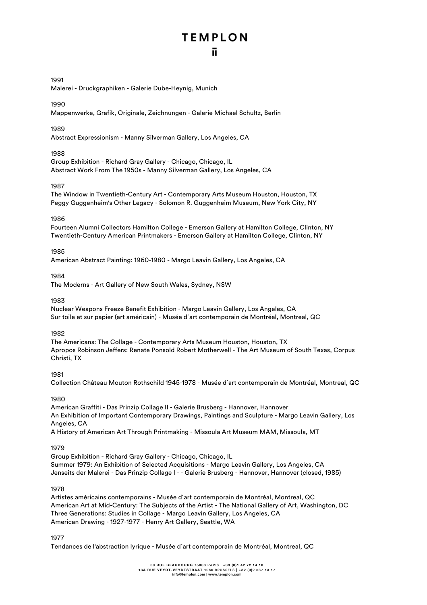#### 1991

Malerei - Druckgraphiken - Galerie Dube-Heynig, Munich

#### 1990

Mappenwerke, Grafik, Originale, Zeichnungen - Galerie Michael Schultz, Berlin

#### 1989

Abstract Expressionism - Manny Silverman Gallery, Los Angeles, CA

#### 1988

Group Exhibition - Richard Gray Gallery - Chicago, Chicago, IL Abstract Work From The 1950s - Manny Silverman Gallery, Los Angeles, CA

#### 1987

The Window in Twentieth-Century Art - Contemporary Arts Museum Houston, Houston, TX Peggy Guggenheim's Other Legacy - Solomon R. Guggenheim Museum, New York City, NY

#### 1986

Fourteen Alumni Collectors Hamilton College - Emerson Gallery at Hamilton College, Clinton, NY Twentieth-Century American Printmakers - Emerson Gallery at Hamilton College, Clinton, NY

#### 1985

American Abstract Painting: 1960-1980 - Margo Leavin Gallery, Los Angeles, CA

#### 1984

The Moderns - Art Gallery of New South Wales, Sydney, NSW

#### 1983

Nuclear Weapons Freeze Benefit Exhibition - Margo Leavin Gallery, Los Angeles, CA Sur toile et sur papier (art américain) - Musée d´art contemporain de Montréal, Montreal, QC

#### 1982

The Americans: The Collage - Contemporary Arts Museum Houston, Houston, TX Apropos Robinson Jeffers: Renate Ponsold Robert Motherwell - The Art Museum of South Texas, Corpus Christi, TX

#### 1981

Collection Château Mouton Rothschild 1945-1978 - Musée d´art contemporain de Montréal, Montreal, QC

#### 1980

American Graffiti - Das Prinzip Collage II - Galerie Brusberg - Hannover, Hannover An Exhibition of Important Contemporary Drawings, Paintings and Sculpture - Margo Leavin Gallery, Los Angeles, CA A History of American Art Through Printmaking - Missoula Art Museum MAM, Missoula, MT

#### 1979

Group Exhibition - Richard Gray Gallery - Chicago, Chicago, IL Summer 1979: An Exhibition of Selected Acquisitions - Margo Leavin Gallery, Los Angeles, CA Jenseits der Malerei - Das Prinzip Collage I - - Galerie Brusberg - Hannover, Hannover (closed, 1985)

#### 1978

Artistes américains contemporains - Musée d´art contemporain de Montréal, Montreal, QC American Art at Mid-Century: The Subjects of the Artist - The National Gallery of Art, Washington, DC Three Generations: Studies in Collage - Margo Leavin Gallery, Los Angeles, CA American Drawing - 1927-1977 - Henry Art Gallery, Seattle, WA

1977

Tendances de l'abstraction lyrique - Musée d´art contemporain de Montréal, Montreal, QC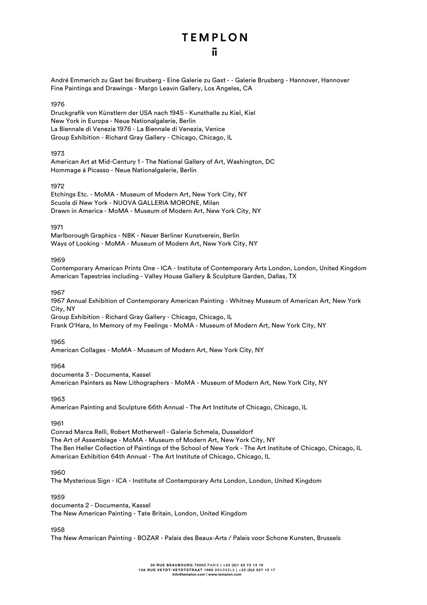André Emmerich zu Gast bei Brusberg - Eine Galerie zu Gast - - Galerie Brusberg - Hannover, Hannover Fine Paintings and Drawings - Margo Leavin Gallery, Los Angeles, CA

#### 1976

Druckgrafik von Künstlern der USA nach 1945 - Kunsthalle zu Kiel, Kiel New York in Europa - Neue Nationalgalerie, Berlin La Biennale di Venezia 1976 - La Biennale di Venezia, Venice Group Exhibition - Richard Gray Gallery - Chicago, Chicago, IL

#### 1973

American Art at Mid-Century 1 - The National Gallery of Art, Washington, DC Hommage á Picasso - Neue Nationalgalerie, Berlin

#### 1972

Etchings Etc. - MoMA - Museum of Modern Art, New York City, NY Scuola di New York - NUOVA GALLERIA MORONE, Milan Drawn in America - MoMA - Museum of Modern Art, New York City, NY

#### 1971

Marlborough Graphics - NBK - Neuer Berliner Kunstverein, Berlin Ways of Looking - MoMA - Museum of Modern Art, New York City, NY

#### 1969

Contemporary American Prints One - ICA - Institute of Contemporary Arts London, London, United Kingdom American Tapestries including - Valley House Gallery & Sculpture Garden, Dallas, TX

#### 1967

1967 Annual Exhibition of Contemporary American Painting - Whitney Museum of American Art, New York City, NY Group Exhibition - Richard Gray Gallery - Chicago, Chicago, IL

Frank O'Hara, In Memory of my Feelings - MoMA - Museum of Modern Art, New York City, NY

#### 1965

American Collages - MoMA - Museum of Modern Art, New York City, NY

#### 1964

documenta 3 - Documenta, Kassel American Painters as New Lithographers - MoMA - Museum of Modern Art, New York City, NY

#### 1963

American Painting and Sculpture 66th Annual - The Art Institute of Chicago, Chicago, IL

#### 1961

Conrad Marca Relli, Robert Motherwell - Galerie Schmela, Dusseldorf The Art of Assemblage - MoMA - Museum of Modern Art, New York City, NY The Ben Heller Collection of Paintings of the School of New York - The Art Institute of Chicago, Chicago, IL American Exhibition 64th Annual - The Art Institute of Chicago, Chicago, IL

#### 1960

The Mysterious Sign - ICA - Institute of Contemporary Arts London, London, United Kingdom

#### 1959

documenta 2 - Documenta, Kassel The New American Painting - Tate Britain, London, United Kingdom

#### 1958

The New American Painting - BOZAR - Palais des Beaux-Arts / Paleis voor Schone Kunsten, Brussels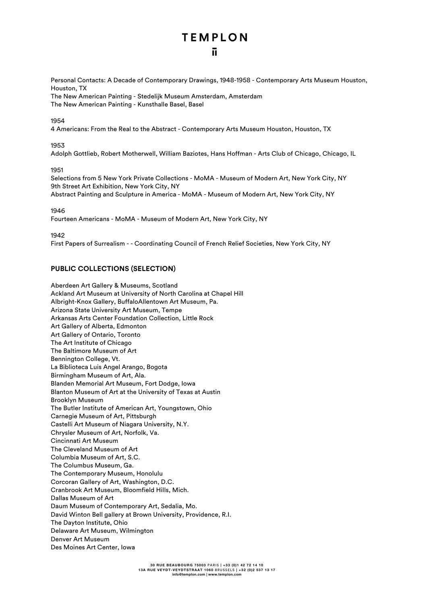Personal Contacts: A Decade of Contemporary Drawings, 1948-1958 - Contemporary Arts Museum Houston, Houston, TX

The New American Painting - Stedelijk Museum Amsterdam, Amsterdam The New American Painting - Kunsthalle Basel, Basel

#### 1954

4 Americans: From the Real to the Abstract - Contemporary Arts Museum Houston, Houston, TX

#### 1953

Adolph Gottlieb, Robert Motherwell, William Baziotes, Hans Hoffman - Arts Club of Chicago, Chicago, IL

#### 1951

Selections from 5 New York Private Collections - MoMA - Museum of Modern Art, New York City, NY 9th Street Art Exhibition, New York City, NY Abstract Painting and Sculpture in America - MoMA - Museum of Modern Art, New York City, NY

1946

Fourteen Americans - MoMA - Museum of Modern Art, New York City, NY

1942

First Papers of Surrealism - - Coordinating Council of French Relief Societies, New York City, NY

#### **PUBLIC COLLECTIONS (SELECTION)**

Aberdeen Art Gallery & Museums, Scotland Ackland Art Museum at University of North Carolina at Chapel Hill Albright-Knox Gallery, BuffaloAllentown Art Museum, Pa. Arizona State University Art Museum, Tempe Arkansas Arts Center Foundation Collection, Little Rock Art Gallery of Alberta, Edmonton Art Gallery of Ontario, Toronto The Art Institute of Chicago The Baltimore Museum of Art Bennington College, Vt. La Biblioteca Luis Angel Arango, Bogota Birmingham Museum of Art, Ala. Blanden Memorial Art Museum, Fort Dodge, Iowa Blanton Museum of Art at the University of Texas at Austin Brooklyn Museum The Butler Institute of American Art, Youngstown, Ohio Carnegie Museum of Art, Pittsburgh Castelli Art Museum of Niagara University, N.Y. Chrysler Museum of Art, Norfolk, Va. Cincinnati Art Museum The Cleveland Museum of Art Columbia Museum of Art, S.C. The Columbus Museum, Ga. The Contemporary Museum, Honolulu Corcoran Gallery of Art, Washington, D.C. Cranbrook Art Museum, Bloomfield Hills, Mich. Dallas Museum of Art Daum Museum of Contemporary Art, Sedalia, Mo. David Winton Bell gallery at Brown University, Providence, R.I. The Dayton Institute, Ohio Delaware Art Museum, Wilmington Denver Art Museum Des Moines Art Center, Iowa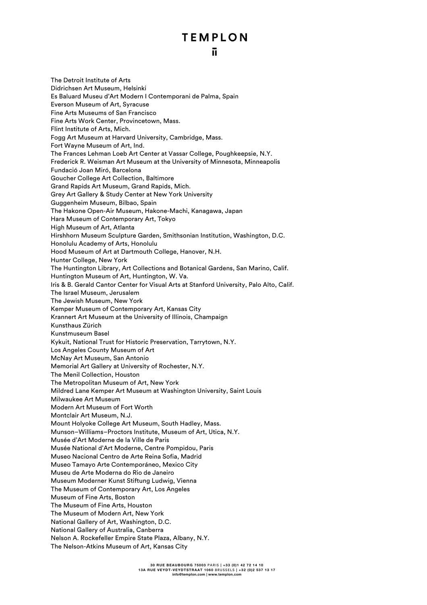The Detroit Institute of Arts Didrichsen Art Museum, Helsinki Es Baluard Museu d'Art Modern I Contemporani de Palma, Spain Everson Museum of Art, Syracuse Fine Arts Museums of San Francisco Fine Arts Work Center, Provincetown, Mass. Flint Institute of Arts, Mich. Fogg Art Museum at Harvard University, Cambridge, Mass. Fort Wayne Museum of Art, Ind. The Frances Lehman Loeb Art Center at Vassar College, Poughkeepsie, N.Y. Frederick R. Weisman Art Museum at the University of Minnesota, Minneapolis Fundació Joan Miró, Barcelona Goucher College Art Collection, Baltimore Grand Rapids Art Museum, Grand Rapids, Mich. Grey Art Gallery & Study Center at New York University Guggenheim Museum, Bilbao, Spain The Hakone Open-Air Museum, Hakone-Machi, Kanagawa, Japan Hara Museum of Contemporary Art, Tokyo High Museum of Art, Atlanta Hirshhorn Museum Sculpture Garden, Smithsonian Institution, Washington, D.C. Honolulu Academy of Arts, Honolulu Hood Museum of Art at Dartmouth College, Hanover, N.H. Hunter College, New York The Huntington Library, Art Collections and Botanical Gardens, San Marino, Calif. Huntington Museum of Art, Huntington, W. Va. Iris & B. Gerald Cantor Center for Visual Arts at Stanford University, Palo Alto, Calif. The Israel Museum, Jerusalem The Jewish Museum, New York Kemper Museum of Contemporary Art, Kansas City Krannert Art Museum at the University of Illinois, Champaign Kunsthaus Zürich Kunstmuseum Basel Kykuit, National Trust for Historic Preservation, Tarrytown, N.Y. Los Angeles County Museum of Art McNay Art Museum, San Antonio Memorial Art Gallery at University of Rochester, N.Y. The Menil Collection, Houston The Metropolitan Museum of Art, New York Mildred Lane Kemper Art Museum at Washington University, Saint Louis Milwaukee Art Museum Modern Art Museum of Fort Worth Montclair Art Museum, N.J. Mount Holyoke College Art Museum, South Hadley, Mass. Munson–Williams–Proctors Institute, Museum of Art, Utica, N.Y. Musée d'Art Moderne de la Ville de Paris Musée National d'Art Moderne, Centre Pompidou, Paris Museo Nacional Centro de Arte Reina Sofia, Madrid Museo Tamayo Arte Contemporáneo, Mexico City Museu de Arte Moderna do Rio de Janeiro Museum Moderner Kunst Stiftung Ludwig, Vienna The Museum of Contemporary Art, Los Angeles Museum of Fine Arts, Boston The Museum of Fine Arts, Houston The Museum of Modern Art, New York National Gallery of Art, Washington, D.C. National Gallery of Australia, Canberra Nelson A. Rockefeller Empire State Plaza, Albany, N.Y. The Nelson-Atkins Museum of Art, Kansas City